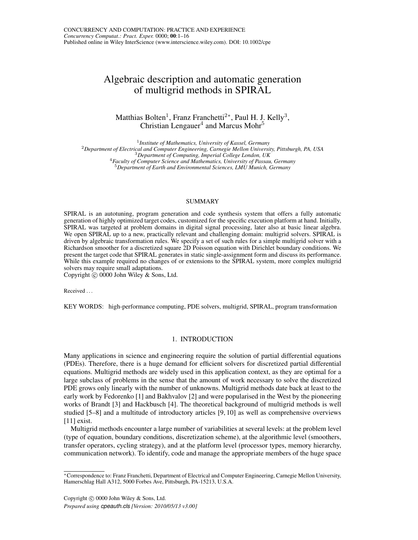# Algebraic description and automatic generation of multigrid methods in SPIRAL

Matthias Bolten<sup>1</sup>, Franz Franchetti<sup>2\*</sup>, Paul H. J. Kelly<sup>3</sup>, Christian Lengauer $^4$  and Marcus Mohr $^5$ 

 *Institute of Mathematics, University of Kassel, Germany Department of Electrical and Computer Engineering, Carnegie Mellon University, Pittsburgh, PA, USA Department of Computing, Imperial College London, UK Faculty of Computer Science and Mathematics, University of Passau, Germany Department of Earth and Environmental Sciences, LMU Munich, Germany*

#### SUMMARY

SPIRAL is an autotuning, program generation and code synthesis system that offers a fully automatic generation of highly optimized target codes, customized for the specific execution platform at hand. Initially, SPIRAL was targeted at problem domains in digital signal processing, later also at basic linear algebra. We open SPIRAL up to a new, practically relevant and challenging domain: multigrid solvers. SPIRAL is driven by algebraic transformation rules. We specify a set of such rules for a simple multigrid solver with a Richardson smoother for a discretized square 2D Poisson equation with Dirichlet boundary conditions. We present the target code that SPIRAL generates in static single-assignment form and discuss its performance. While this example required no changes of or extensions to the SPIRAL system, more complex multigrid solvers may require small adaptations.

Copyright  $\odot$  0000 John Wiley & Sons, Ltd.

Received . . .

KEY WORDS: high-performance computing, PDE solvers, multigrid, SPIRAL, program transformation

## 1. INTRODUCTION

Many applications in science and engineering require the solution of partial differential equations (PDEs). Therefore, there is a huge demand for efficient solvers for discretized partial differential equations. Multigrid methods are widely used in this application context, as they are optimal for a large subclass of problems in the sense that the amount of work necessary to solve the discretized PDE grows only linearly with the number of unknowns. Multigrid methods date back at least to the early work by Fedorenko [1] and Bakhvalov [2] and were popularised in the West by the pioneering works of Brandt [3] and Hackbusch [4]. The theoretical background of multigrid methods is well studied [5–8] and a multitude of introductory articles [9, 10] as well as comprehensive overviews [11] exist.

Multigrid methods encounter a large number of variabilities at several levels: at the problem level (type of equation, boundary conditions, discretization scheme), at the algorithmic level (smoothers, transfer operators, cycling strategy), and at the platform level (processor types, memory hierarchy, communication network). To identify, code and manage the appropriate members of the huge space

Copyright  $\odot$  0000 John Wiley & Sons, Ltd.

*Prepared using cpeauth.cls [Version: 2010/05/13 v3.00]*

<sup>∗</sup>Correspondence to: Franz Franchetti, Department of Electrical and Computer Engineering, Carnegie Mellon University, Hamerschlag Hall A312, 5000 Forbes Ave, Pittsburgh, PA-15213, U.S.A.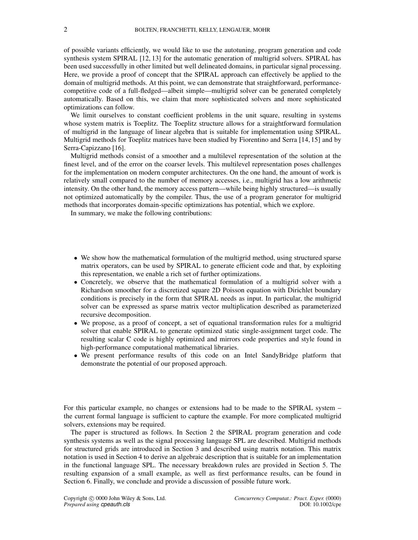of possible variants efficiently, we would like to use the autotuning, program generation and code synthesis system SPIRAL [12, 13] for the automatic generation of multigrid solvers. SPIRAL has been used successfully in other limited but well delineated domains, in particular signal processing. Here, we provide a proof of concept that the SPIRAL approach can effectively be applied to the domain of multigrid methods. At this point, we can demonstrate that straightforward, performancecompetitive code of a full-fledged—albeit simple—multigrid solver can be generated completely automatically. Based on this, we claim that more sophisticated solvers and more sophisticated optimizations can follow.

We limit ourselves to constant coefficient problems in the unit square, resulting in systems whose system matrix is Toeplitz. The Toeplitz structure allows for a straightforward formulation of multigrid in the language of linear algebra that is suitable for implementation using SPIRAL. Multigrid methods for Toeplitz matrices have been studied by Fiorentino and Serra [14, 15] and by Serra-Capizzano [16].

Multigrid methods consist of a smoother and a multilevel representation of the solution at the finest level, and of the error on the coarser levels. This multilevel representation poses challenges for the implementation on modern computer architectures. On the one hand, the amount of work is relatively small compared to the number of memory accesses, i.e., multigrid has a low arithmetic intensity. On the other hand, the memory access pattern—while being highly structured—is usually not optimized automatically by the compiler. Thus, the use of a program generator for multigrid methods that incorporates domain-specific optimizations has potential, which we explore.

In summary, we make the following contributions:

- We show how the mathematical formulation of the multigrid method, using structured sparse matrix operators, can be used by SPIRAL to generate efficient code and that, by exploiting this representation, we enable a rich set of further optimizations.
- Concretely, we observe that the mathematical formulation of a multigrid solver with a Richardson smoother for a discretized square 2D Poisson equation with Dirichlet boundary conditions is precisely in the form that SPIRAL needs as input. In particular, the multigrid solver can be expressed as sparse matrix vector multiplication described as parameterized recursive decomposition.
- We propose, as a proof of concept, a set of equational transformation rules for a multigrid solver that enable SPIRAL to generate optimized static single-assignment target code. The resulting scalar C code is highly optimized and mirrors code properties and style found in high-performance computational mathematical libraries.
- We present performance results of this code on an Intel SandyBridge platform that demonstrate the potential of our proposed approach.

For this particular example, no changes or extensions had to be made to the SPIRAL system – the current formal language is sufficient to capture the example. For more complicated multigrid solvers, extensions may be required.

The paper is structured as follows. In Section 2 the SPIRAL program generation and code synthesis systems as well as the signal processing language SPL are described. Multigrid methods for structured grids are introduced in Section 3 and described using matrix notation. This matrix notation is used in Section 4 to derive an algebraic description that is suitable for an implementation in the functional language SPL. The necessary breakdown rules are provided in Section 5. The resulting expansion of a small example, as well as first performance results, can be found in Section 6. Finally, we conclude and provide a discussion of possible future work.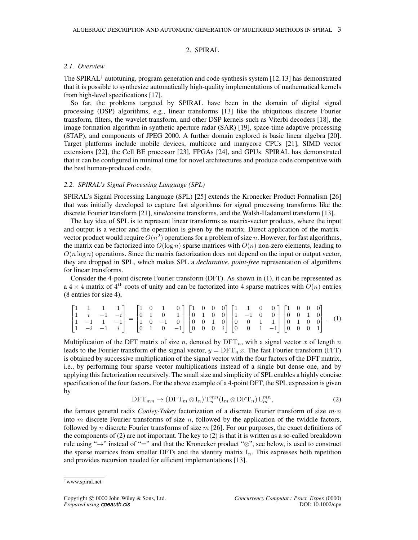## 2. SPIRAL

## *2.1. Overview*

The SPIRAL<sup>†</sup> autotuning, program generation and code synthesis system [12,13] has demonstrated that it is possible to synthesize automatically high-quality implementations of mathematical kernels from high-level specifications [17].

So far, the problems targeted by SPIRAL have been in the domain of digital signal processing (DSP) algorithms, e.g., linear transforms [13] like the ubiquitous discrete Fourier transform, filters, the wavelet transform, and other DSP kernels such as Viterbi decoders [18], the image formation algorithm in synthetic aperture radar (SAR) [19], space-time adaptive processing (STAP), and components of JPEG 2000. A further domain explored is basic linear algebra [20]. Target platforms include mobile devices, multicore and manycore CPUs [21], SIMD vector extensions [22], the Cell BE processor [23], FPGAs [24], and GPUs. SPIRAL has demonstrated that it can be configured in minimal time for novel architectures and produce code competitive with the best human-produced code.

## *2.2. SPIRAL's Signal Processing Language (SPL)*

SPIRAL's Signal Processing Language (SPL) [25] extends the Kronecker Product Formalism [26] that was initially developed to capture fast algorithms for signal processing transforms like the discrete Fourier transform [21], sine/cosine transforms, and the Walsh-Hadamard transform [13].

The key idea of SPL is to represent linear transforms as matrix-vector products, where the input and output is a vector and the operation is given by the matrix. Direct application of the matrixvector product would require  $O(n^2)$  operations for a problem of size n. However, for fast algorithms, the matrix can be factorized into  $O(\log n)$  sparse matrices with  $O(n)$  non-zero elements, leading to  $O(n \log n)$  operations. Since the matrix factorization does not depend on the input or output vector, they are dropped in SPL, which makes SPL a *declarative*, *point-free* representation of algorithms for linear transforms.

Consider the 4-point discrete Fourier transform (DFT). As shown in (1), it can be represented as a  $4 \times 4$  matrix of  $4^{\text{th}}$  roots of unity and can be factorized into 4 sparse matrices with  $O(n)$  entries (8 entries for size 4),

|  | $\begin{bmatrix} 1 & 1 & 1 & 1 \\ 1 & i & -1 & -i \\ 1 & -1 & 1 & -1 \\ 1 & -i & -1 & i \end{bmatrix} = \begin{bmatrix} 1 & 0 & 1 & 0 \\ 0 & 1 & 0 & 1 \\ 1 & 0 & -1 & 0 \\ 0 & 1 & 0 & -1 \end{bmatrix} \begin{bmatrix} 1 & 0 & 0 & 0 \\ 0 & 1 & 0 & 0 \\ 0 & 0 & 1 & 0 \\ 0 & 0 & 0 & i \end{bmatrix} \begin{bmatrix} 1 & 1 & 0 & 0 \\ 1 & -1 & 0 & 0 \\ 0 & 0 & 1 & 1 \\ 0 &$ |  |  |  |  |  |  |  |  |  |  |
|--|----------------------------------------------------------------------------------------------------------------------------------------------------------------------------------------------------------------------------------------------------------------------------------------------------------------------------------------------------------------------------------|--|--|--|--|--|--|--|--|--|--|
|  |                                                                                                                                                                                                                                                                                                                                                                                  |  |  |  |  |  |  |  |  |  |  |
|  |                                                                                                                                                                                                                                                                                                                                                                                  |  |  |  |  |  |  |  |  |  |  |
|  |                                                                                                                                                                                                                                                                                                                                                                                  |  |  |  |  |  |  |  |  |  |  |

Multiplication of the DFT matrix of size n, denoted by  $DFT_n$ , with a signal vector x of length n leads to the Fourier transform of the signal vector,  $y = DFT_n x$ . The fast Fourier transform (FFT) is obtained by successive multiplication of the signal vector with the four factors of the DFT matrix, i.e., by performing four sparse vector multiplications instead of a single but dense one, and by applying this factorization recursively. The small size and simplicity of SPL enables a highly concise specification of the four factors. For the above example of a 4-point DFT, the SPL expression is given by

$$
\text{DFT}_{mn} \to (\text{DFT}_m \otimes I_n) \text{T}_n^{mn} (I_m \otimes \text{DFT}_n) L_m^{mn}, \tag{2}
$$

the famous general radix *Cooley-Tukey* factorization of a discrete Fourier transform of size m·n into  $m$  discrete Fourier transforms of size  $n$ , followed by the application of the twiddle factors, followed by n discrete Fourier transforms of size  $m$  [26]. For our purposes, the exact definitions of the components of  $(2)$  are not important. The key to  $(2)$  is that it is written as a so-called breakdown rule using "→" instead of "=" and that the Kronecker product "⊗", see below, is used to construct the sparse matrices from smaller DFTs and the identity matrix  $I_n$ . This expresses both repetition and provides recursion needed for efficient implementations [13].

<sup>†</sup>www.spiral.net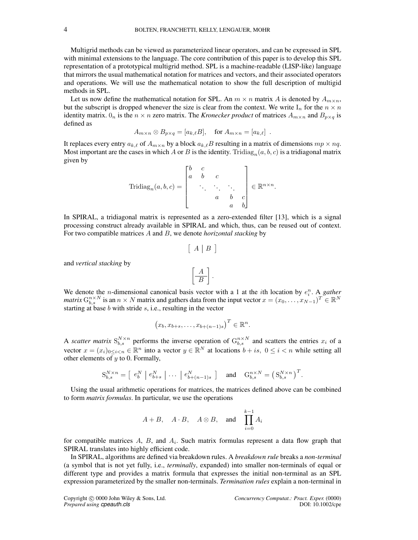Multigrid methods can be viewed as parameterized linear operators, and can be expressed in SPL with minimal extensions to the language. The core contribution of this paper is to develop this SPL representation of a prototypical multigrid method. SPL is a machine-readable (LISP-like) language that mirrors the usual mathematical notation for matrices and vectors, and their associated operators and operations. We will use the mathematical notation to show the full description of multigid methods in SPL.

Let us now define the mathematical notation for SPL. An  $m \times n$  matrix A is denoted by  $A_{m \times n}$ , but the subscript is dropped whenever the size is clear from the context. We write  $I_n$  for the  $n \times n$ identity matrix.  $0_n$  is the  $n \times n$  zero matrix. The *Kronecker product* of matrices  $A_{m \times n}$  and  $B_{p \times q}$  is defined as

$$
A_{m \times n} \otimes B_{p \times q} = [a_{k,\ell}B], \quad \text{for } A_{m \times n} = [a_{k,\ell}] .
$$

It replaces every entry  $a_{k,\ell}$  of  $A_{m\times n}$  by a block  $a_{k,\ell}B$  resulting in a matrix of dimensions  $mp \times nq$ . Most important are the cases in which A or B is the identity. Tridiag<sub>n</sub> $(a, b, c)$  is a tridiagonal matrix given by

$$
\operatorname{Tridiag}_n(a,b,c) = \begin{bmatrix} b & c & & \\ a & b & c & \\ & \ddots & \ddots & \ddots & \\ & & a & b & c \\ & & & a & b \end{bmatrix} \in \mathbb{R}^{n \times n}.
$$

In SPIRAL, a tridiagonal matrix is represented as a zero-extended filter [13], which is a signal processing construct already available in SPIRAL and which, thus, can be reused out of context. For two compatible matrices A and B, we denote *horizontal stacking* by

$$
\left[ \begin{array}{c|c} A & B \end{array} \right]
$$

and *vertical stacking* by

$$
\left[\begin{array}{c} A \\ \hline B \end{array}\right].
$$

We denote the *n*-dimensional canonical basis vector with a 1 at the *i*th location by  $e_i^n$ . A *gather matrix*  $G_{b,s}^{n\times N}$  is an  $n \times N$  matrix and gathers data from the input vector  $x=(x_0,\ldots,x_{N-1})^T\in\mathbb{R}^N$ starting at base  $b$  with stride  $s$ , i.e., resulting in the vector

$$
(x_b, x_{b+s}, \ldots, x_{b+(n-1)s})^T \in \mathbb{R}^n.
$$

A *scatter matrix*  $S_{b,s}^{N\times n}$  performs the inverse operation of  $G_{b,s}^{n\times N}$  and scatters the entries  $x_i$  of a vector  $x = (x_i)_{0 \le i \le n} \in \mathbb{R}^n$  into a vector  $y \in \mathbb{R}^N$  at locations  $b + is, 0 \le i \le n$  while setting all other elements of  $y$  to 0. Formally,

$$
S_{b,s}^{N\times n} = \begin{bmatrix} e_b^N & \vert & e_{b+s}^N \end{bmatrix} \dots \begin{bmatrix} e_{b+(n-1)s}^N \end{bmatrix} \quad \text{and} \quad G_{b,s}^{n\times N} = \left( S_{b,s}^{N\times n} \right)^T.
$$

Using the usual arithmetic operations for matrices, the matrices defined above can be combined to form *matrix formulas*. In particular, we use the operations

$$
A + B
$$
,  $A \cdot B$ ,  $A \otimes B$ , and  $\prod_{i=0}^{k-1} A_i$ 

for compatible matrices  $A$ ,  $B$ , and  $A_i$ . Such matrix formulas represent a data flow graph that SPIRAL translates into highly efficient code.

In SPIRAL, algorithms are defined via breakdown rules. A *breakdown rule* breaks a *non-terminal* (a symbol that is not yet fully, i.e., *terminally*, expanded) into smaller non-terminals of equal or different type and provides a matrix formula that expresses the initial non-terminal as an SPL expression parameterized by the smaller non-terminals. *Termination rules* explain a non-terminal in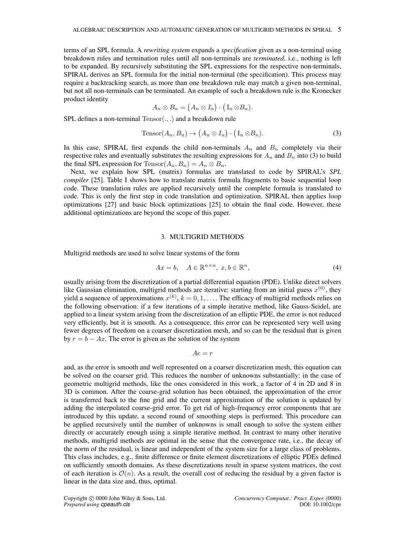terms of an SPL formula. A *rewriting system* expands a *specification* given as a non-terminal using breakdown rules and termination rules until all non-terminals are *terminated*, i.e., nothing is left to be expanded. By recursively substituting the SPL expressions for the respective non-terminals, SPIRAL derives an SPL formula for the initial non-terminal (the specification). This process may require a backtracking search, as more than one breakdown rule may match a given non-terminal, but not all non-terminals can be terminated. An example of such a breakdown rule is the Kronecker product identity

$$
A_n \otimes B_n = (A_n \otimes I_n) \cdot (I_n \otimes B_n).
$$

SPL defines a non-terminal Tensor(., .) and a breakdown rule

$$
Tensor(A_n, B_n) \to (A_n \otimes I_n) \cdot (I_n \otimes B_n). \tag{3}
$$

In this case, SPIRAL first expands the child non-terminals  $A_n$  and  $B_n$  completely via their respective rules and eventually substitutes the resulting expressions for  $A_n$  and  $B_n$  into (3) to build the final SPL expression for Tensor $(A_n, B_n) = A_n \otimes B_n$ .

Next, we explain how SPL (matrix) formulas are translated to code by SPIRAL's *SPL compiler* [25]. Table I shows how to translate matrix formula fragments to basic sequential loop code. These translation rules are applied recursively until the complete formula is translated to code. This is only the first step in code translation and optimization. SPIRAL then applies loop optimizations [27] and basic block optimizations [25] to obtain the final code. However, these additional optimizations are beyond the scope of this paper.

## 3. MULTIGRID METHODS

Multigrid methods are used to solve linear systems of the form

$$
Ax = b, \quad A \in \mathbb{R}^{n \times n}, \ x, b \in \mathbb{R}^n,
$$
\n<sup>(4)</sup>

usually arising from the discretization of a partial differential equation (PDE). Unlike direct solvers like Gaussian elimination, multigrid methods are iterative: starting from an initial guess  $x^{(0)}$ , they yield a sequence of approximations  $x^{(k)}$ ,  $k = 0, 1, \ldots$ . The efficacy of multigrid methods relies on the following observation: if a few iterations of a simple iterative method, like Gauss-Seidel, are applied to a linear system arising from the discretization of an elliptic PDE, the error is not reduced very efficiently, but it is smooth. As a consequence, this error can be represented very well using fewer degrees of freedom on a coarser discretization mesh, and so can be the residual that is given by  $r = b - Ax$ . The error is given as the solution of the system

$$
Ae = r
$$

and, as the error is smooth and well represented on a coarser discretization mesh, this equation can be solved on the coarser grid. This reduces the number of unknowns substantially: in the case of geometric multigrid methods, like the ones considered in this work, a factor of 4 in 2D and 8 in 3D is common. After the coarse-grid solution has been obtained, the approximation of the error is transferred back to the fine grid and the current approximation of the solution is updated by adding the interpolated coarse-grid error. To get rid of high-frequency error components that are introduced by this update, a second round of smoothing steps is performed. This procedure can be applied recursively until the number of unknowns is small enough to solve the system either directly or accurately enough using a simple iterative method. In contrast to many other iterative methods, multigrid methods are optimal in the sense that the convergence rate, i.e., the decay of the norm of the residual, is linear and independent of the system size for a large class of problems. This class includes, e.g., finite difference or finite element discretizations of elliptic PDEs defined on sufficiently smooth domains. As these discretizations result in sparse system matrices, the cost of each iteration is  $\mathcal{O}(n)$ . As a result, the overall cost of reducing the residual by a given factor is linear in the data size and, thus, optimal.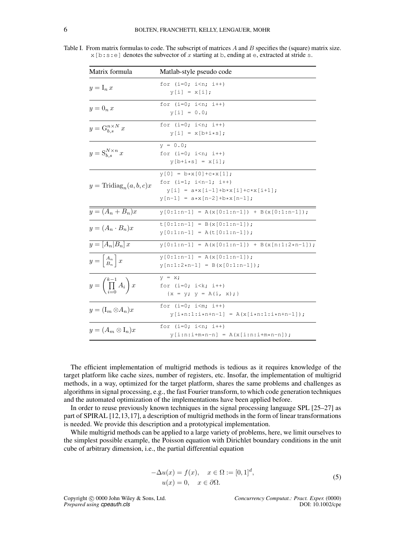Table I. From matrix formulas to code. The subscript of matrices A and B specifies the (square) matrix size.  $x[b:s:e]$  denotes the subvector of x starting at b, ending at e, extracted at stride s.

| Matrix formula                                   | Matlab-style pseudo code                                                                                                                   |
|--------------------------------------------------|--------------------------------------------------------------------------------------------------------------------------------------------|
| $y = I_n x$                                      | for $(i=0; i \le n; i++)$<br>$y[i] = x[i];$                                                                                                |
| $y=0_n x$                                        | for $(i=0; i < n; i++)$<br>$y[i] = 0.0;$                                                                                                   |
| $y = G_{b,s}^{n \times N} x$                     | for $(i=0; i \le n; i++)$<br>$y[i] = x[b+ix];$                                                                                             |
| $y = \mathbf{S}_{b,s}^{N \times n} x$            | $y = 0.0;$<br>for $(i=0; i \le n; i++)$<br>$y[b+ix] = x[i];$                                                                               |
| $y = \text{Tridiag}_n(a, b, c)x$                 | $y[0] = b \star x[0] + c \star x[1];$<br>for $(i=1; i < n-1; i++)$<br>$y[i] = axx[i-1]+b*x[i]+c*x[i+1];$<br>$y[n-1] = a*x[n-2]+b*x[n-1]$ ; |
| $y=(A_n+B_n)x$                                   | $y[0:1:n-1] = A(x[0:1:n-1]) + B(x[0:1:n-1]);$                                                                                              |
| $y=(A_n\cdot B_n)x$                              | $t[0:1:n-1] = B(x[0:1:n-1])$ ;<br>$y[0:1:n-1] = A(t[0:1:n-1])$ ;                                                                           |
| $y = [A_n B_n]x$                                 | $y[0:1:n-1] = A(x[0:1:n-1]) + B(x[n:1:2*n-1]);$                                                                                            |
| $y = \begin{bmatrix} A_n \\ B_n \end{bmatrix} x$ | $y[0:1:n-1] = A(x[0:1:n-1])$ ;<br>$y[n:1:2*n-1] = B(x[0:1:n-1])$ ;                                                                         |
| $y = \left(\prod_{i=0}^{k-1} A_i\right)x$        | $y = x;$<br>for $(i=0; i< k; i++)$<br>$\{x = y; y = A(i, x); \}$                                                                           |
| $y = (\mathbf{I}_m \otimes A_n)x$                | for $(i=0; i\leq m; i++)$<br>$y[i \star n: 1:i \star n+n-1] = A(x[i \star n: 1:i \star n+n-1])$ ;                                          |
| $y = (A_m \otimes I_n)x$                         | for $(i=0; i \le n; i++)$<br>$y[i:n:i+m*n-n] = A(x[i:n:i+m*n-n])$ ;                                                                        |

The efficient implementation of multigrid methods is tedious as it requires knowledge of the target platform like cache sizes, number of registers, etc. Insofar, the implementation of multigrid methods, in a way, optimized for the target platform, shares the same problems and challenges as algorithms in signal processing, e.g., the fast Fourier transform, to which code generation techniques and the automated optimization of the implementations have been applied before.

In order to reuse previously known techniques in the signal processing language SPL [25–27] as part of SPIRAL [12,13,17], a description of multigrid methods in the form of linear transformations is needed. We provide this description and a prototypical implementation.

While multigrid methods can be applied to a large variety of problems, here, we limit ourselves to the simplest possible example, the Poisson equation with Dirichlet boundary conditions in the unit cube of arbitrary dimension, i.e., the partial differential equation

$$
-\Delta u(x) = f(x), \quad x \in \Omega := [0, 1]^d,
$$
  

$$
u(x) = 0, \quad x \in \partial\Omega.
$$
 (5)

*Prepared using cpeauth.cls* 

Copyright c 0000 John Wiley & Sons, Ltd. *Concurrency Computat.: Pract. Exper.* (0000)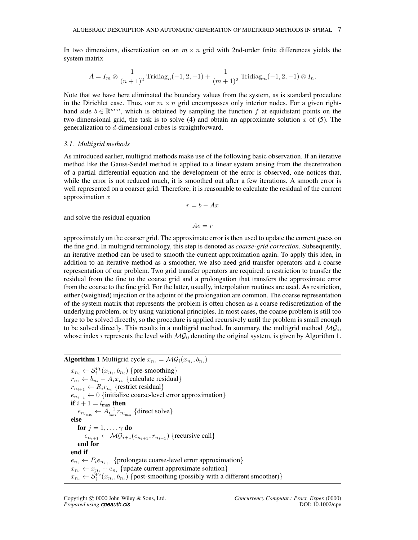In two dimensions, discretization on an  $m \times n$  grid with 2nd-order finite differences yields the system matrix

$$
A = I_m \otimes \frac{1}{(n+1)^2} \operatorname{Tridiag}_n(-1, 2, -1) + \frac{1}{(m+1)^2} \operatorname{Tridiag}_m(-1, 2, -1) \otimes I_n.
$$

Note that we have here eliminated the boundary values from the system, as is standard procedure in the Dirichlet case. Thus, our  $m \times n$  grid encompasses only interior nodes. For a given righthand side  $b \in \mathbb{R}^{m \cdot n}$ , which is obtained by sampling the function f at equidistant points on the two-dimensional grid, the task is to solve  $(4)$  and obtain an approximate solution x of  $(5)$ . The generalization to d-dimensional cubes is straightforward.

#### *3.1. Multigrid methods*

As introduced earlier, multigrid methods make use of the following basic observation. If an iterative method like the Gauss-Seidel method is applied to a linear system arising from the discretization of a partial differential equation and the development of the error is observed, one notices that, while the error is not reduced much, it is smoothed out after a few iterations. A smooth error is well represented on a coarser grid. Therefore, it is reasonable to calculate the residual of the current approximation  $x$ 

$$
r = b - Ax
$$

and solve the residual equation

 $Ae = r$ 

approximately on the coarser grid. The approximate error is then used to update the current guess on the fine grid. In multigrid terminology, this step is denoted as *coarse-grid correction*. Subsequently, an iterative method can be used to smooth the current approximation again. To apply this idea, in addition to an iterative method as a smoother, we also need grid transfer operators and a coarse representation of our problem. Two grid transfer operators are required: a restriction to transfer the residual from the fine to the coarse grid and a prolongation that transfers the approximate error from the coarse to the fine grid. For the latter, usually, interpolation routines are used. As restriction, either (weighted) injection or the adjoint of the prolongation are common. The coarse representation of the system matrix that represents the problem is often chosen as a coarse rediscretization of the underlying problem, or by using variational principles. In most cases, the coarse problem is still too large to be solved directly, so the procedure is applied recursively until the problem is small enough to be solved directly. This results in a multigrid method. In summary, the multigrid method  $MG_i$ , whose index *i* represents the level with  $MG_0$  denoting the original system, is given by Algorithm 1.

# **Algorithm 1** Multigrid cycle  $x_{n_i} = \mathcal{MG}_i(x_{n_i}, b_{n_i})$

 $x_{n_i} \leftarrow \mathcal{S}_i^{\nu_1}(x_{n_i}, b_{n_i})$  {pre-smoothing}  $r_{n_i} \leftarrow b_{n_i} - A_i x_{n_i}$  {calculate residual}  $r_{n_{i+1}} \leftarrow R_i r_{n_i}$  {restrict residual}  $e_{n_{i+1}} \leftarrow 0$  {initialize coarse-level error approximation} if  $i + 1 = l_{\max}$  then  $e_{n_{l_{\text{max}}}} \leftarrow A_{l_{\text{max}}}^{-1} r_{n_{l_{\text{max}}}}$  {direct solve} else for  $j = 1, \ldots, \gamma$  do  $e_{n_{i+1}} \leftarrow \mathcal{MG}_{i+1}(e_{n_{i+1}}, r_{n_{i+1}})$  {recursive call} end for end if  $e_{n_i} \leftarrow P_i e_{n_{i+1}}$  {prolongate coarse-level error approximation}  $x_{n_i} \leftarrow x_{n_i} + e_{n_i}$  {update current approximate solution}  $x_{n_i} \leftarrow \tilde{S}_i^{\nu_2}(x_{n_i}, b_{n_i})$  {post-smoothing (possibly with a different smoother)}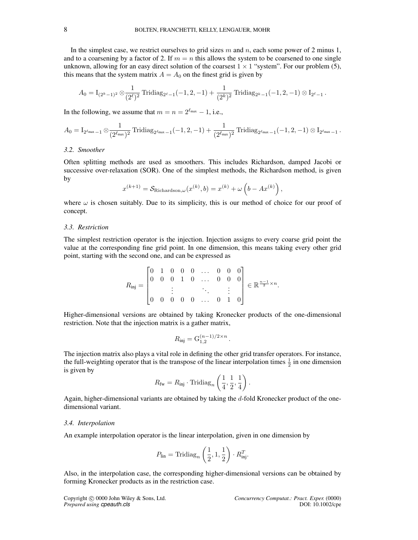In the simplest case, we restrict ourselves to grid sizes m and n, each some power of 2 minus 1, and to a coarsening by a factor of 2. If  $m = n$  this allows the system to be coarsened to one single unknown, allowing for an easy direct solution of the coarsest  $1 \times 1$  "system". For our problem (5), this means that the system matrix  $A = A_0$  on the finest grid is given by

$$
A_0 = I_{(2^k-1)^2} \otimes \frac{1}{(2^{\ell})^2} \operatorname{Tridiag}_{2^{\ell}-1}(-1,2,-1) + \frac{1}{(2^k)^2} \operatorname{Tridiag}_{2^k-1}(-1,2,-1) \otimes I_{2^{\ell}-1}.
$$

In the following, we assume that  $m = n = 2^{\ell_{\text{max}}} - 1$ , i.e.,

$$
A_0 = I_{2^{\ell_{\text{max}}} - 1} \otimes \frac{1}{(2^{\ell_{\text{max}}})^2} \operatorname{Tridiag}_{2^{\ell_{\text{max}}} - 1}(-1, 2, -1) + \frac{1}{(2^{\ell_{\text{max}}})^2} \operatorname{Tridiag}_{2^{\ell_{\text{max}}} - 1}(-1, 2, -1) \otimes I_{2^{\ell_{\text{max}}} - 1} \, .
$$

## *3.2. Smoother*

Often splitting methods are used as smoothers. This includes Richardson, damped Jacobi or successive over-relaxation (SOR). One of the simplest methods, the Richardson method, is given by

$$
x^{(k+1)} = \mathcal{S}_{\text{Richardson},\omega}(x^{(k)},b) = x^{(k)} + \omega\left(b - Ax^{(k)}\right),
$$

where  $\omega$  is chosen suitably. Due to its simplicity, this is our method of choice for our proof of concept.

#### *3.3. Restriction*

The simplest restriction operator is the injection. Injection assigns to every coarse grid point the value at the corresponding fine grid point. In one dimension, this means taking every other grid point, starting with the second one, and can be expressed as

$$
R_{\rm inj} = \begin{bmatrix} 0 & 1 & 0 & 0 & 0 & \dots & 0 & 0 & 0 \\ 0 & 0 & 0 & 1 & 0 & \dots & 0 & 0 & 0 \\ & & \vdots & & & \ddots & & \vdots \\ 0 & 0 & 0 & 0 & 0 & \dots & 0 & 1 & 0 \end{bmatrix} \in \mathbb{R}^{\frac{n-1}{2} \times n}.
$$

Higher-dimensional versions are obtained by taking Kronecker products of the one-dimensional restriction. Note that the injection matrix is a gather matrix,

$$
R_{\rm inj} = G_{1,2}^{(n-1)/2 \times n}.
$$

The injection matrix also plays a vital role in defining the other grid transfer operators. For instance, the full-weighting operator that is the transpose of the linear interpolation times  $\frac{1}{2}$  in one dimension is given by

$$
R_{\text{fw}} = R_{\text{inj}} \cdot \text{Tridiag}_n \left( \frac{1}{4}, \frac{1}{2}, \frac{1}{4} \right).
$$

Again, higher-dimensional variants are obtained by taking the d-fold Kronecker product of the onedimensional variant.

## *3.4. Interpolation*

An example interpolation operator is the linear interpolation, given in one dimension by

$$
P_{\text{lin}} = \text{Tridiag}_n\left(\frac{1}{2}, 1, \frac{1}{2}\right) \cdot R_{\text{inj}}^T.
$$

Also, in the interpolation case, the corresponding higher-dimensional versions can be obtained by forming Kronecker products as in the restriction case.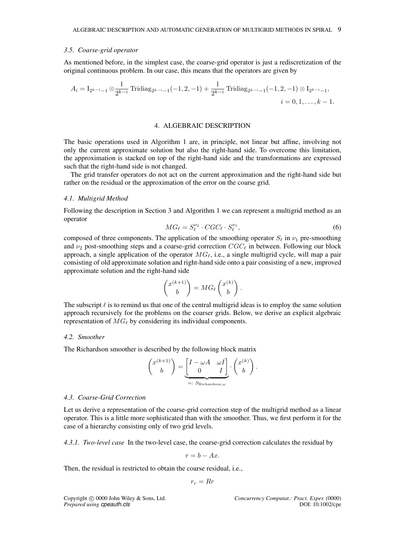#### *3.5. Coarse-grid operator*

As mentioned before, in the simplest case, the coarse-grid operator is just a rediscretization of the original continuous problem. In our case, this means that the operators are given by

$$
A_i = I_{2^{k-i}-1} \otimes \frac{1}{2^{k-i}} \operatorname{Tridiag}_{2^{k-i}-1}(-1,2,-1) + \frac{1}{2^{k-i}} \operatorname{Tridiag}_{2^{k-i}-1}(-1,2,-1) \otimes I_{2^{k-i}-1},
$$
  
 $i = 0,1,\ldots,k-1.$ 

#### 4. ALGEBRAIC DESCRIPTION

The basic operations used in Algorithm 1 are, in principle, not linear but affine, involving not only the current approximate solution but also the right-hand side. To overcome this limitation, the approximation is stacked on top of the right-hand side and the transformations are expressed such that the right-hand side is not changed.

The grid transfer operators do not act on the current approximation and the right-hand side but rather on the residual or the approximation of the error on the coarse grid.

#### *4.1. Multigrid Method*

Following the description in Section 3 and Algorithm 1 we can represent a multigrid method as an operator

$$
MG_{\ell} = S_{\ell}^{\nu_2} \cdot CGC_{\ell} \cdot S_{\ell}^{\nu_1},\tag{6}
$$

composed of three components. The application of the smoothing operator  $S_\ell$  in  $\nu_1$  pre-smoothing and  $\nu_2$  post-smoothing steps and a coarse-grid correction  $CGC_\ell$  in between. Following our block approach, a single application of the operator  $MG_\ell$ , i.e., a single multigrid cycle, will map a pair consisting of old approximate solution and right-hand side onto a pair consisting of a new, improved approximate solution and the right-hand side

$$
\binom{x^{(k+1)}}{b} = MG_{\ell}\left(\begin{matrix}x^{(k)}\\b\end{matrix}\right).
$$

The subscript  $\ell$  is to remind us that one of the central multigrid ideas is to employ the same solution approach recursively for the problems on the coarser grids. Below, we derive an explicit algebraic representation of  $MG_\ell$  by considering its individual components.

## *4.2. Smoother*

The Richardson smoother is described by the following block matrix

$$
\begin{pmatrix} x^{(k+1)} \\ b \end{pmatrix} = \underbrace{\begin{bmatrix} I - \omega A & \omega I \\ 0 & I \end{bmatrix}}_{=: S_{\text{Richardson}, \omega}} \cdot \begin{pmatrix} x^{(k)} \\ b \end{pmatrix}.
$$

#### *4.3. Coarse-Grid Correction*

Let us derive a representation of the coarse-grid correction step of the multigrid method as a linear operator. This is a little more sophisticated than with the smoother. Thus, we first perform it for the case of a hierarchy consisting only of two grid levels.

*4.3.1. Two-level case* In the two-level case, the coarse-grid correction calculates the residual by

$$
r=b-Ax.
$$

Then, the residual is restricted to obtain the coarse residual, i.e.,

$$
r_c = Rr
$$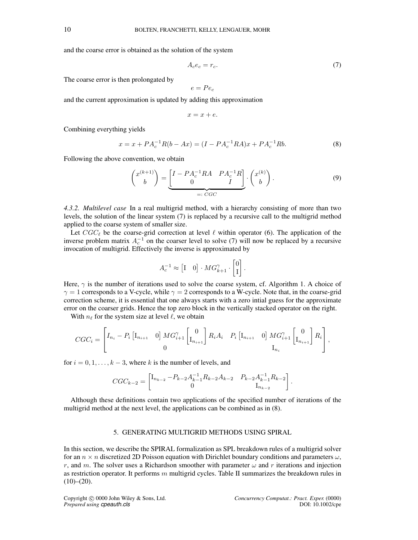and the coarse error is obtained as the solution of the system

$$
A_c e_c = r_c. \tag{7}
$$

The coarse error is then prolongated by

$$
e = Pe_c
$$

and the current approximation is updated by adding this approximation

$$
x = x + e.
$$

Combining everything yields

$$
x = x + PA_c^{-1}R(b - Ax) = (I - PA_c^{-1}RA)x + PA_c^{-1}Rb.
$$
\n(8)

Following the above convention, we obtain

$$
\begin{pmatrix} x^{(k+1)} \\ b \end{pmatrix} = \underbrace{\begin{bmatrix} I - P A_c^{-1} R A & P A_c^{-1} R \\ 0 & I \end{bmatrix}}_{=: CGC} \cdot \begin{pmatrix} x^{(k)} \\ b \end{pmatrix}.
$$
 (9)

*4.3.2. Multilevel case* In a real multigrid method, with a hierarchy consisting of more than two levels, the solution of the linear system (7) is replaced by a recursive call to the multigrid method applied to the coarse system of smaller size.

Let  $CGC_{\ell}$  be the coarse-grid correction at level  $\ell$  within operator (6). The application of the inverse problem matrix  $A_c^{-1}$  on the coarser level to solve (7) will now be replaced by a recursive invocation of multigrid. Effectively the inverse is approximated by

$$
A_c^{-1} \approx \begin{bmatrix} 1 & 0 \end{bmatrix} \cdot MG_{k+1}^{\gamma} \cdot \begin{bmatrix} 0 \\ 1 \end{bmatrix}.
$$

Here,  $\gamma$  is the number of iterations used to solve the coarse system, cf. Algorithm 1. A choice of  $\gamma = 1$  corresponds to a V-cycle, while  $\gamma = 2$  corresponds to a W-cycle. Note that, in the coarse-grid correction scheme, it is essential that one always starts with a zero intial guess for the approximate error on the coarser grids. Hence the top zero block in the vertically stacked operator on the right.

With  $n_\ell$  for the system size at level  $\ell$ , we obtain

$$
CGC_i = \begin{bmatrix} I_{n_i} - P_i \begin{bmatrix} I_{n_{i+1}} & 0 \end{bmatrix} MG_{i+1}^{\gamma} \begin{bmatrix} 0 \\ I_{n_{i+1}} \end{bmatrix} R_i A_i & P_i \begin{bmatrix} I_{n_{i+1}} & 0 \end{bmatrix} MG_{i+1}^{\gamma} \begin{bmatrix} 0 \\ I_{n_{i+1}} \end{bmatrix} R_i \end{bmatrix},
$$
  

$$
I_{n_i}
$$

for  $i = 0, 1, \ldots, k - 3$ , where k is the number of levels, and

$$
CGC_{k-2} = \begin{bmatrix} I_{n_{k-2}} - P_{k-2}A_{k-1}^{-1}R_{k-2}A_{k-2} & P_{k-2}A_{k-1}^{-1}R_{k-2} \\ 0 & I_{n_{k-2}} \end{bmatrix}.
$$

Although these definitions contain two applications of the specified number of iterations of the multigrid method at the next level, the applications can be combined as in (8).

## 5. GENERATING MULTIGRID METHODS USING SPIRAL

In this section, we describe the SPIRAL formalization as SPL breakdown rules of a multigrid solver for an  $n \times n$  discretized 2D Poisson equation with Dirichlet boundary conditions and parameters  $\omega$ , r, and m. The solver uses a Richardson smoother with parameter  $\omega$  and r iterations and injection as restriction operator. It performs m multigrid cycles. Table II summarizes the breakdown rules in  $(10)–(20)$ .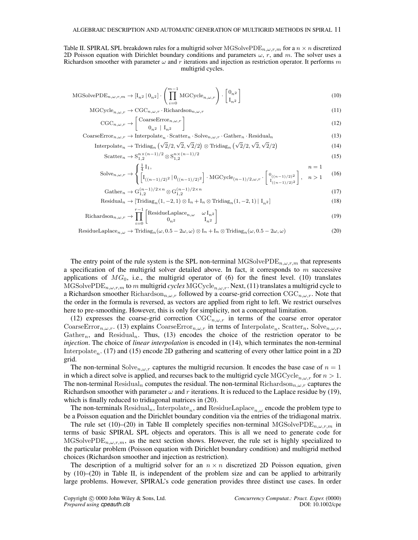Table II. SPIRAL SPL breakdown rules for a multigrid solver MGSolvePDE $_{n,\omega,r,m}$  for a  $n \times n$  discretized 2D Poisson equation with Dirichlet boundary conditions and parameters  $\omega$ , r, and m. The solver uses a Richardson smoother with parameter  $\omega$  and r iterations and injection as restriction operator. It performs m multigrid cycles.

$$
\text{MGSolvePDE}_{n,\omega,r,m} \to [\mathbf{I}_{n2} \mid \mathbf{0}_{n2}] \cdot \left( \prod_{i=0}^{m-1} \text{MGCycle}_{n,\omega,r} \right) \cdot \begin{bmatrix} \mathbf{0}_{n^2} \\ \mathbf{I}_{n^2} \end{bmatrix}
$$
 (10)

$$
MGCycle_{n,\omega,r} \to CGC_{n,\omega,r} \cdot Richardson_{n,\omega,r}
$$
 (11)

$$
CGC_{n,\omega,r} \to \begin{bmatrix} \text{CoarseError}_{n,\omega,r} \\ 0_{n^2} | I_{n^2} \end{bmatrix}
$$
 (12)

 $\text{CoarseError}_{n,\omega,r} \to \text{Interpolate}_n \cdot \text{Scatter}_n \cdot \text{Solve}_{n,\omega,r} \cdot \text{Gather}_n \cdot \text{Residual}_n$  (13)

Interpolate<sub>n</sub> 
$$
\rightarrow
$$
 Tridiag<sub>n</sub> ( $\sqrt{2}/2, \sqrt{2}, \sqrt{2}/2$ )  $\otimes$  Tridiag<sub>n</sub> ( $\sqrt{2}/2, \sqrt{2}, \sqrt{2}/2$ ) (14)

$$
\text{Scatter}_n \to \mathcal{S}_{1,2}^{n \times (n-1)/2} \otimes \mathcal{S}_{1,2}^{n \times (n-1)/2} \tag{15}
$$

Solve<sub>n,\omega,r</sub> 
$$
\rightarrow \begin{cases} \frac{1}{4}I_1, & n = 1\\ \left[I_{((n-1)/2)^2} | 0_{((n-1)/2)^2} \right] \cdot \text{MGCycle}_{(n-1)/2,\omega,r} \cdot \begin{bmatrix} 0_{((n-1)/2)^2} \\ I_{((n-1)/2)^2} \end{bmatrix}, & n > 1 \end{cases}
$$
 (16)

$$
Gather_n \to G_{1,2}^{(n-1)/2 \times n} \otimes G_{1,2}^{(n-1)/2 \times n}
$$
 (17)

Residual<sub>n</sub> 
$$
\rightarrow
$$
 [Tridiag<sub>n</sub>(1, -2, 1)  $\otimes$  I<sub>n</sub> + I<sub>n</sub>  $\otimes$  Tridiag<sub>n</sub>(1, -2, 1) | I<sub>n</sub><sub>2</sub>] (18)

Richardson<sub>n,\omega,r</sub> 
$$
\rightarrow \prod_{i=0}^{r-1} \begin{bmatrix} \text{ResidueLaplace}_{n,\omega} & \omega I_{n^2} \\ 0_{n^2} & I_{n^2} \end{bmatrix}
$$
 (19)

ResidueLaplace<sub>n,\omega</sub> 
$$
\rightarrow
$$
 Tridiag<sub>n</sub>( $\omega$ , 0.5 - 2 $\omega$ ,  $\omega$ )  $\otimes$  I<sub>n</sub> + I<sub>n</sub>  $\otimes$  Tridiag<sub>n</sub>( $\omega$ , 0.5 - 2 $\omega$ ,  $\omega$ ) (20)

The entry point of the rule system is the SPL non-terminal MGSolvePDE $_{n,\omega,r,m}$  that represents a specification of the multigrid solver detailed above. In fact, it corresponds to  $m$  successive applications of  $MG_0$ , i.e., the multigrid operator of (6) for the finest level. (10) translates MGSolvePDE<sub>n, $\omega$ ,r,m to m multigrid *cycles* MGCycle<sub>n, $\omega$ ,r. Next, (11) translates a multigrid cycle to</sub></sub> a Richardson smoother Richardson $_{n,\omega,r}$  followed by a coarse-grid correction CGC $_{n,\omega,r}$ . Note that the order in the formula is reversed, as vectors are applied from right to left. We restrict ourselves here to pre-smoothing. However, this is only for simplicity, not a conceptual limitation.

(12) expresses the coarse-grid correction  $CGC_{n,\omega,r}$  in terms of the coarse error operator CoarseError<sub>n, $\omega$ ,r. (13) explains CoarseError<sub>n, $\omega$ ,r</sub> in terms of Interpolate<sub>n</sub>, Scatter<sub>n</sub>, Solve<sub>n, $\omega$ ,r,</sub></sub> Gather<sub>n</sub>, and Residual<sub>n</sub>. Thus, (13) encodes the choice of the restriction operator to be *injection*. The choice of *linear interpolation* is encoded in (14), which terminates the non-terminal Interpolate<sub>n</sub>. (17) and (15) encode 2D gathering and scattering of every other lattice point in a 2D grid.

The non-terminal Solve<sub>n, $\omega$ , captures the multigrid recursion. It encodes the base case of  $n = 1$ </sub> in which a direct solve is applied, and recurses back to the multigrid cycle MGCycle<sub>n,  $\omega_r$ </sub> for  $n > 1$ . The non-terminal Residual<sub>n</sub> computes the residual. The non-terminal Richardson<sub>n,ω,r</sub> captures the Richardson smoother with parameter  $\omega$  and r iterations. It is reduced to the Laplace residue by (19), which is finally reduced to tridiagonal matrices in (20).

The non-terminals Residual<sub>n</sub>, Interpolate<sub>n</sub>, and ResidueLaplace<sub>n,ω</sub> encode the problem type to be a Poisson equation and the Dirichlet boundary condition via the entries of the tridiagonal matrix.

The rule set (10)–(20) in Table II completely specifies non-terminal MGSolvePDE<sub>n, $\omega$ ,r,m in</sub> terms of basic SPIRAL SPL objects and operators. This is all we need to generate code for MGSolvePDE<sub>n, $\omega$ ,r,m</sub>, as the next section shows. However, the rule set is highly specialized to the particular problem (Poisson equation with Dirichlet boundary condition) and multigrid method choices (Richardson smoother and injection as restriction).

The description of a multigrid solver for an  $n \times n$  discretized 2D Poisson equation, given by (10)–(20) in Table II, is independent of the problem size and can be applied to arbitrarily large problems. However, SPIRAL's code generation provides three distinct use cases. In order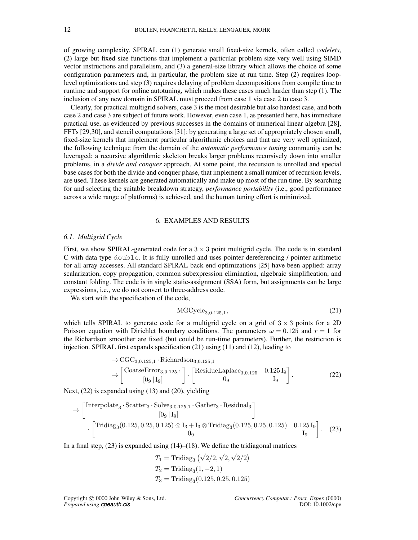of growing complexity, SPIRAL can (1) generate small fixed-size kernels, often called *codelets*, (2) large but fixed-size functions that implement a particular problem size very well using SIMD vector instructions and parallelism, and (3) a general-size library which allows the choice of some configuration parameters and, in particular, the problem size at run time. Step (2) requires looplevel optimizations and step (3) requires delaying of problem decompositions from compile time to runtime and support for online autotuning, which makes these cases much harder than step (1). The inclusion of any new domain in SPIRAL must proceed from case 1 via case 2 to case 3.

Clearly, for practical multigrid solvers, case 3 is the most desirable but also hardest case, and both case 2 and case 3 are subject of future work. However, even case 1, as presented here, has immediate practical use, as evidenced by previous successes in the domains of numerical linear algebra [28], FFTs [29,30], and stencil computations [31]: by generating a large set of appropriately chosen small, fixed-size kernels that implement particular algorithmic choices and that are very well optimized, the following technique from the domain of the *automatic performance tuning* community can be leveraged: a recursive algorithmic skeleton breaks larger problems recursively down into smaller problems, in a *divide and conquer* approach. At some point, the recursion is unrolled and special base cases for both the divide and conquer phase, that implement a small number of recursion levels, are used. These kernels are generated automatically and make up most of the run time. By searching for and selecting the suitable breakdown strategy, *performance portability* (i.e., good performance across a wide range of platforms) is achieved, and the human tuning effort is minimized.

## 6. EXAMPLES AND RESULTS

#### *6.1. Multigrid Cycle*

First, we show SPIRAL-generated code for a  $3 \times 3$  point multigrid cycle. The code is in standard C with data type double. It is fully unrolled and uses pointer dereferencing / pointer arithmetic for all array accesses. All standard SPIRAL back-end optimizations [25] have been applied: array scalarization, copy propagation, common subexpression elimination, algebraic simplification, and constant folding. The code is in single static-assignment (SSA) form, but assignments can be large expressions, i.e., we do not convert to three-address code.

We start with the specification of the code,

$$
MGCycle_{3,0.125,1},\tag{21}
$$

which tells SPIRAL to generate code for a multigrid cycle on a grid of  $3 \times 3$  points for a 2D Poisson equation with Dirichlet boundary conditions. The parameters  $\omega = 0.125$  and  $r = 1$  for the Richardson smoother are fixed (but could be run-time parameters). Further, the restriction is injection. SPIRAL first expands specification (21) using (11) and (12), leading to

$$
\rightarrow CGC_{3,0.125,1} \cdot Richardson_{3,0.125,1}
$$

$$
\rightarrow \begin{bmatrix} \text{CoarseError}_{3,0.125,1} \\ [0_9 | I_9] \end{bmatrix} \cdot \begin{bmatrix} \text{ResidueLaplace}_{3,0.125} & 0.125 I_9 \\ 0_9 & I_9 \end{bmatrix} . \tag{22}
$$

Next, (22) is expanded using (13) and (20), yielding

$$
\rightarrow \begin{bmatrix} \text{Interpolate}_{3} \cdot \text{Scatter}_{3} \cdot \text{Solve}_{3,0.125,1} \cdot \text{Gather}_{3} \cdot \text{Residual}_{3} \\ [0_{9} | I_{9}] \\ \cdot \begin{bmatrix} \text{Tridiag}_{3}(0.125, 0.25, 0.125) \otimes I_{3} + I_{3} \otimes \text{Tridiag}_{3}(0.125, 0.25, 0.125) & 0.125 I_{9} \\ 0_{9} & I_{9} \end{bmatrix} . \end{bmatrix} . \tag{23}
$$

In a final step,  $(23)$  is expanded using  $(14)$ – $(18)$ . We define the tridiagonal matrices

$$
T_1 = \text{Tridiag}_3(\sqrt{2}/2, \sqrt{2}, \sqrt{2}/2)
$$
  
\n
$$
T_2 = \text{Tridiag}_3(1, -2, 1)
$$
  
\n
$$
T_3 = \text{Tridiag}_3(0.125, 0.25, 0.125)
$$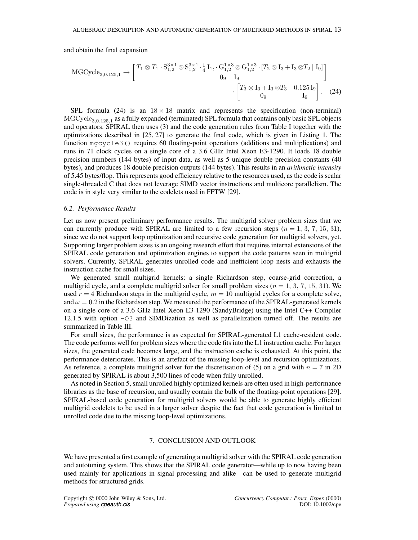and obtain the final expansion

$$
MGCycle_{3,0.125,1} \rightarrow \begin{bmatrix} T_1 \otimes T_1 \cdot S_{1,2}^{3 \times 1} \otimes S_{1,2}^{3 \times 1} \cdot \frac{1}{4} I_1, \cdot G_{1,2}^{1 \times 3} \otimes G_{1,2}^{1 \times 3} \cdot [T_2 \otimes I_3 + I_3 \otimes T_2 | I_9] \\ 0_9 | I_9 \end{bmatrix} \cdot \begin{bmatrix} T_3 \otimes I_3 + I_3 \otimes T_3 & 0.125 I_9 \\ 0_9 | I_9 \end{bmatrix} . \quad (24)
$$

SPL formula (24) is an  $18 \times 18$  matrix and represents the specification (non-terminal)  $\mathrm{MGCycle}_{3,0.125,1}$  as a fully expanded (terminated) SPL formula that contains only basic SPL objects and operators. SPIRAL then uses (3) and the code generation rules from Table I together with the optimizations described in [25, 27] to generate the final code, which is given in Listing 1. The function mgcycle3() requires 60 floating-point operations (additions and multiplications) and runs in 71 clock cycles on a single core of a 3.6 GHz Intel Xeon E3-1290. It loads 18 double precision numbers (144 bytes) of input data, as well as 5 unique double precision constants (40 bytes), and produces 18 double precision outputs (144 bytes). This results in an *arithmetic intensity* of 5.45 bytes/flop. This represents good efficiency relative to the resources used, as the code is scalar single-threaded C that does not leverage SIMD vector instructions and multicore parallelism. The code is in style very similar to the codelets used in FFTW [29].

#### *6.2. Performance Results*

Let us now present preliminary performance results. The multigrid solver problem sizes that we can currently produce with SPIRAL are limited to a few recursion steps  $(n = 1, 3, 7, 15, 31)$ , since we do not support loop optimization and recursive code generation for multigrid solvers, yet. Supporting larger problem sizes is an ongoing research effort that requires internal extensions of the SPIRAL code generation and optimization engines to support the code patterns seen in multigrid solvers. Currently, SPIRAL generates unrolled code and inefficient loop nests and exhausts the instruction cache for small sizes.

We generated small multigrid kernels: a single Richardson step, coarse-grid correction, a multigrid cycle, and a complete multigrid solver for small problem sizes ( $n = 1, 3, 7, 15, 31$ ). We used  $r = 4$  Richardson steps in the multigrid cycle,  $m = 10$  multigrid cycles for a complete solve, and  $\omega = 0.2$  in the Richardson step. We measured the performance of the SPIRAL-generated kernels on a single core of a 3.6 GHz Intel Xeon E3-1290 (SandyBridge) using the Intel C++ Compiler 12.1.5 with option -O3 and SIMDization as well as parallelization turned off. The results are summarized in Table III.

For small sizes, the performance is as expected for SPIRAL-generated L1 cache-resident code. The code performs well for problem sizes where the code fits into the L1 instruction cache. For larger sizes, the generated code becomes large, and the instruction cache is exhausted. At this point, the performance deteriorates. This is an artefact of the missing loop-level and recursion optimizations. As reference, a complete multigrid solver for the discretisation of (5) on a grid with  $n = 7$  in 2D generated by SPIRAL is about 3,500 lines of code when fully unrolled.

As noted in Section 5, small unrolled highly optimized kernels are often used in high-performance libraries as the base of recursion, and usually contain the bulk of the floating-point operations [29]. SPIRAL-based code generation for multigrid solvers would be able to generate highly efficient multigrid codelets to be used in a larger solver despite the fact that code generation is limited to unrolled code due to the missing loop-level optimizations.

## 7. CONCLUSION AND OUTLOOK

We have presented a first example of generating a multigrid solver with the SPIRAL code generation and autotuning system. This shows that the SPIRAL code generator—while up to now having been used mainly for applications in signal processing and alike—can be used to generate multigrid methods for structured grids.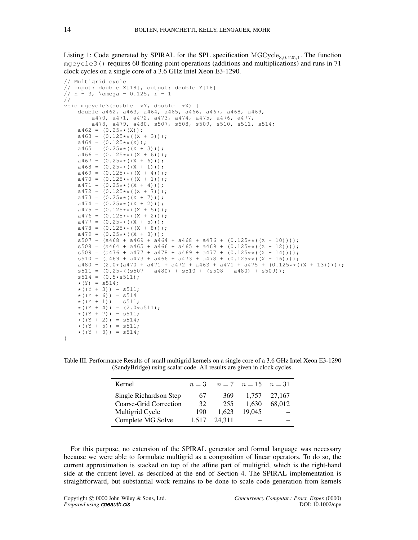Listing 1: Code generated by SPIRAL for the SPL specification  $MGCycle_{3,0.125,1}$ . The function mgcycle3() requires 60 floating-point operations (additions and multiplications) and runs in 71 clock cycles on a single core of a 3.6 GHz Intel Xeon E3-1290.

```
// Multigrid cycle
// input: double X[18], output: double Y[18]
// n = 3, \omega = 0.125, r = 1//
void mgcycle3(double *Y, double *X) {
   double a462, a463, a464, a465, a466, a467, a468, a469,
       a470, a471, a472, a473, a474, a475, a476, a477,
       a478, a479, a480, s507, s508, s509, s510, s511, s514;
    a462 = (0.25** (X));a463 = (0.125**((X + 3)));a464 = (0.125** (X));
   a465 = (0.25**((X + 3)));a466 = (0.125**((X + 6)));
   a467 = (0.25**((X + 6)));
    a468 = (0.25**((X + 1)));a469 = (0.125**((X + 4)));a470 = (0.125**((X + 1)));a471 = (0.25**((X + 4)));a472 = (0.125**((X + 7)));a473 = (0.25**((X + 7)));a474 = (0.25**((X + 2)));a475 = (0.125**((X + 5)));
   a476 = (0.125**((X + 2)));a477 = (0.25**((X + 5)));
    a478 = (0.125**((X + 8)));a479 = (0.25**((X + 8))));
    s507 = (a468 + a469 + a464 + a468 + a476 + (0.125**((X + 10))))s508 = (a464 + a465 + a466 + a465 + a469 + (0.125**((X + 12))))s509 = (a476 + a477 + a478 + a469 + a477 + (0.125**((X + 14)))));s510 = (a469 + a473 + a466 + a473 + a478 + (0.125**((X + 16)))));a480 = (2.0*(a470 + a471 + a472 + a463 + a471 + a475 + (0.125**((X + 13)))));s511 = (0.25 \times (s507 - a480) + s510 + (s508 - a480) + s509));s514 = (0.5*s511);*(Y) = s514;*( (Y + 3)) = s511;*( (Y + 6)) = s514*( (Y + 1)) = s511;*( (Y + 4)) = (2.0 * s511);*( (Y + 7)) = s511;*( (Y + 2)) = 5514;*(Y + 5)) = s511;*( (Y + 8)) = s514;}
```

| Kernel                 | $n=3$ |        | $n = 7$ $n = 15$ $n = 31$ |        |
|------------------------|-------|--------|---------------------------|--------|
| Single Richardson Step | 67    | 369    | 1.757                     | 27.167 |
| Coarse-Grid Correction | 32    | 255    | 1.630                     | 68.012 |
| Multigrid Cycle        | 190   | 1.623  | 19.045                    |        |
| Complete MG Solve      |       | 24.311 |                           |        |

Table III. Performance Results of small multigrid kernels on a single core of a 3.6 GHz Intel Xeon E3-1290 (SandyBridge) using scalar code. All results are given in clock cycles.

For this purpose, no extension of the SPIRAL generator and formal language was necessary because we were able to formulate multigrid as a composition of linear operators. To do so, the current approximation is stacked on top of the affine part of multigrid, which is the right-hand side at the current level, as described at the end of Section 4. The SPIRAL implementation is straightforward, but substantial work remains to be done to scale code generation from kernels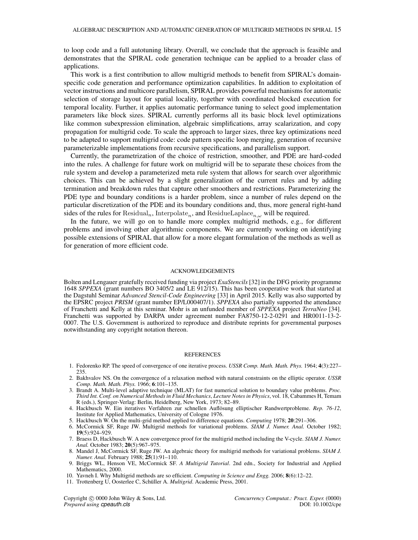to loop code and a full autotuning library. Overall, we conclude that the approach is feasible and demonstrates that the SPIRAL code generation technique can be applied to a broader class of applications.

This work is a first contribution to allow multigrid methods to benefit from SPIRAL's domainspecific code generation and performance optimization capabilities. In addition to exploitation of vector instructions and multicore parallelism, SPIRAL provides powerful mechanisms for automatic selection of storage layout for spatial locality, together with coordinated blocked execution for temporal locality. Further, it applies automatic performance tuning to select good implementation parameters like block sizes. SPIRAL currently performs all its basic block level optimizations like common subexpression elimination, algebraic simplifications, array scalarization, and copy propagation for multigrid code. To scale the approach to larger sizes, three key optimizations need to be adapted to support multigrid code: code pattern specific loop merging, generation of recursive parameterizable implementations from recursive specifications, and parallelism support.

Currently, the parametrization of the choice of restriction, smoother, and PDE are hard-coded into the rules. A challenge for future work on multigrid will be to separate these choices from the rule system and develop a parameterized meta rule system that allows for search over algorithmic choices. This can be achieved by a slight generalization of the current rules and by adding termination and breakdown rules that capture other smoothers and restrictions. Parameterizing the PDE type and boundary conditions is a harder problem, since a number of rules depend on the particular discretization of the PDE and its boundary conditions and, thus, more general right-hand sides of the rules for Residual<sub>n</sub>, Interpolate<sub>n</sub>, and ResidueLaplace<sub>n,ω</sub> will be required.

In the future, we will go on to handle more complex multigrid methods, e.g., for different problems and involving other algorithmic components. We are currently working on identifying possible extensions of SPIRAL that allow for a more elegant formulation of the methods as well as for generation of more efficient code.

#### ACKNOWLEDGEMENTS

Bolten and Lengauer gratefully received funding via project *ExaStencils* [32] in the DFG priority programme 1648 *SPPEXA* (grant numbers BO 3405/2 and LE 912/15). This has been cooperative work that started at the Dagstuhl Seminar *Advanced Stencil-Code Engineering* [33] in April 2015. Kelly was also supported by the EPSRC project *PRISM* (grant number EP/L000407/1). *SPPEXA* also partially supported the attendance of Franchetti and Kelly at this seminar. Mohr is an unfunded member of *SPPEXA* project *TerraNeo* [34]. Franchetti was supported by DARPA under agreement number FA8750-12-2-0291 and HR0011-13-2- 0007. The U.S. Government is authorized to reproduce and distribute reprints for governmental purposes notwithstanding any copyright notation thereon.

#### REFERENCES

- 1. Fedorenko RP. The speed of convergence of one iterative process. *USSR Comp. Math. Math. Phys.* 1964; 4(3):227– 235.
- 2. Bakhvalov NS. On the convergence of a relaxation method with natural constraints on the elliptic operator. *USSR Comp. Math. Math. Phys.* 1966; 6:101–135.
- 3. Brandt A. Multi-level adaptive technique (MLAT) for fast numerical solution to boundary value problems. *Proc. Third Int. Conf. on Numerical Methods in Fluid Mechanics*, *Lecture Notes in Physics*, vol. 18, Cabammes H, Temam R (eds.), Springer-Verlag: Berlin, Heidelberg, New York, 1973; 82–89.
- 4. Hackbusch W. Ein iteratives Verfahren zur schnellen Auflösung elliptischer Randwertprobleme. Rep. 76-12, Institute for Applied Mathematics, University of Cologne 1976.
- 5. Hackbusch W. On the multi-grid method applied to difference equations. *Computing* 1978; 20:291–306.
- 6. McCormick SF, Ruge JW. Multigrid methods for variational problems. *SIAM J. Numer. Anal.* October 1982; 19(5):924–929.
- 7. Braess D, Hackbusch W. A new convergence proof for the multigrid method including the V-cycle. *SIAM J. Numer. Anal.* October 1983; 20(5):967–975.
- 8. Mandel J, McCormick SF, Ruge JW. An algebraic theory for multigrid methods for variational problems. *SIAM J. Numer. Anal.* February 1988; 25(1):91–110.
- 9. Briggs WL, Henson VE, McCormick SF. *A Multigrid Tutorial*. 2nd edn., Society for Industrial and Applied Mathematics, 2000.
- 10. Yavneh I. Why Multigrid methods are so efficient. *Computing in Science and Engg.* 2006; 8(6):12–22.
- 11. Trottenberg U, Oosterlee C, Schüller A. *Multigrid*. Academic Press, 2001.